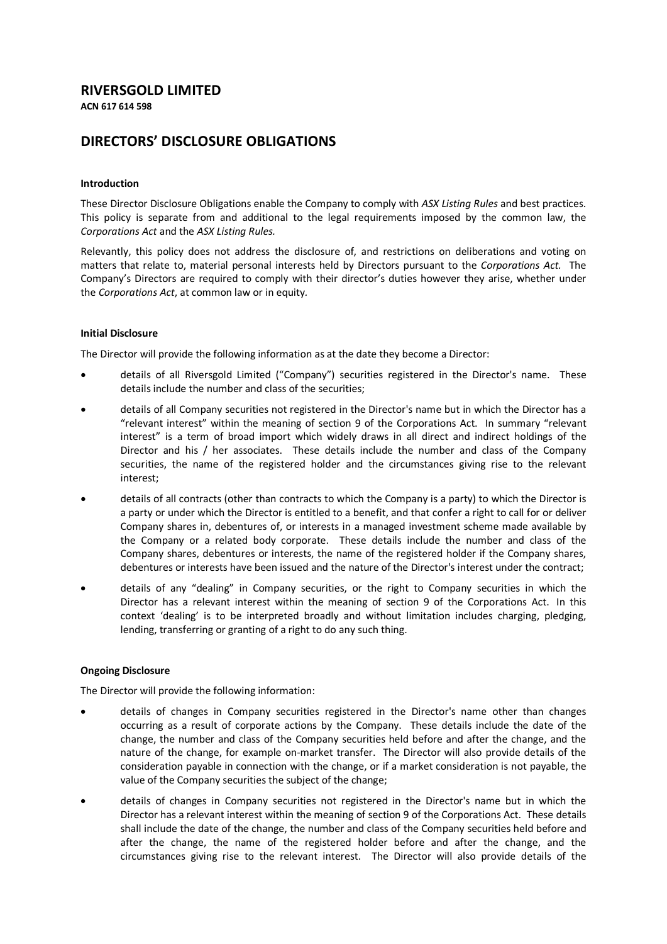## **RIVERSGOLD LIMITED**

**ACN 617 614 598**

# **DIRECTORS' DISCLOSURE OBLIGATIONS**

### **Introduction**

These Director Disclosure Obligations enable the Company to comply with *ASX Listing Rules* and best practices. This policy is separate from and additional to the legal requirements imposed by the common law, the *Corporations Act* and the *ASX Listing Rules.* 

Relevantly, this policy does not address the disclosure of, and restrictions on deliberations and voting on matters that relate to, material personal interests held by Directors pursuant to the *Corporations Act.* The Company's Directors are required to comply with their director's duties however they arise, whether under the *Corporations Act*, at common law or in equity*.*

### **Initial Disclosure**

The Director will provide the following information as at the date they become a Director:

- details of all Riversgold Limited ("Company") securities registered in the Director's name. These details include the number and class of the securities;
- details of all Company securities not registered in the Director's name but in which the Director has a "relevant interest" within the meaning of section 9 of the Corporations Act. In summary "relevant interest" is a term of broad import which widely draws in all direct and indirect holdings of the Director and his / her associates. These details include the number and class of the Company securities, the name of the registered holder and the circumstances giving rise to the relevant interest;
- details of all contracts (other than contracts to which the Company is a party) to which the Director is a party or under which the Director is entitled to a benefit, and that confer a right to call for or deliver Company shares in, debentures of, or interests in a managed investment scheme made available by the Company or a related body corporate. These details include the number and class of the Company shares, debentures or interests, the name of the registered holder if the Company shares, debentures or interests have been issued and the nature of the Director's interest under the contract;
- details of any "dealing" in Company securities, or the right to Company securities in which the Director has a relevant interest within the meaning of section 9 of the Corporations Act. In this context 'dealing' is to be interpreted broadly and without limitation includes charging, pledging, lending, transferring or granting of a right to do any such thing.

### **Ongoing Disclosure**

The Director will provide the following information:

- details of changes in Company securities registered in the Director's name other than changes occurring as a result of corporate actions by the Company. These details include the date of the change, the number and class of the Company securities held before and after the change, and the nature of the change, for example on-market transfer. The Director will also provide details of the consideration payable in connection with the change, or if a market consideration is not payable, the value of the Company securities the subject of the change;
- details of changes in Company securities not registered in the Director's name but in which the Director has a relevant interest within the meaning of section 9 of the Corporations Act. These details shall include the date of the change, the number and class of the Company securities held before and after the change, the name of the registered holder before and after the change, and the circumstances giving rise to the relevant interest. The Director will also provide details of the